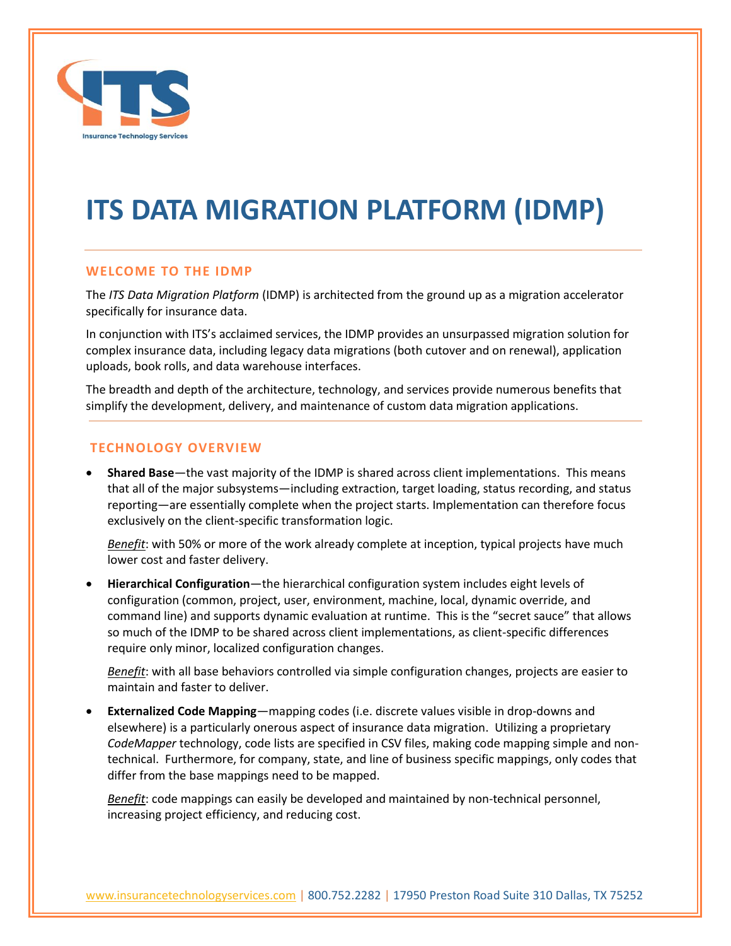

# **ITS DATA MIGRATION PLATFORM (IDMP)**

# **WELCOME TO THE IDMP**

The *ITS Data Migration Platform* (IDMP) is architected from the ground up as a migration accelerator specifically for insurance data.

In conjunction with ITS's acclaimed services, the IDMP provides an unsurpassed migration solution for complex insurance data, including legacy data migrations (both cutover and on renewal), application uploads, book rolls, and data warehouse interfaces.

The breadth and depth of the architecture, technology, and services provide numerous benefits that simplify the development, delivery, and maintenance of custom data migration applications.

### **TECHNOLOGY OVERVIEW**

• **Shared Base**—the vast majority of the IDMP is shared across client implementations. This means that all of the major subsystems—including extraction, target loading, status recording, and status reporting—are essentially complete when the project starts. Implementation can therefore focus exclusively on the client-specific transformation logic.

*Benefit*: with 50% or more of the work already complete at inception, typical projects have much lower cost and faster delivery.

• **Hierarchical Configuration**—the hierarchical configuration system includes eight levels of configuration (common, project, user, environment, machine, local, dynamic override, and command line) and supports dynamic evaluation at runtime. This is the "secret sauce" that allows so much of the IDMP to be shared across client implementations, as client-specific differences require only minor, localized configuration changes.

*Benefit*: with all base behaviors controlled via simple configuration changes, projects are easier to maintain and faster to deliver.

• **Externalized Code Mapping**—mapping codes (i.e. discrete values visible in drop-downs and elsewhere) is a particularly onerous aspect of insurance data migration. Utilizing a proprietary *CodeMapper* technology, code lists are specified in CSV files, making code mapping simple and nontechnical. Furthermore, for company, state, and line of business specific mappings, only codes that differ from the base mappings need to be mapped.

*Benefit*: code mappings can easily be developed and maintained by non-technical personnel, increasing project efficiency, and reducing cost.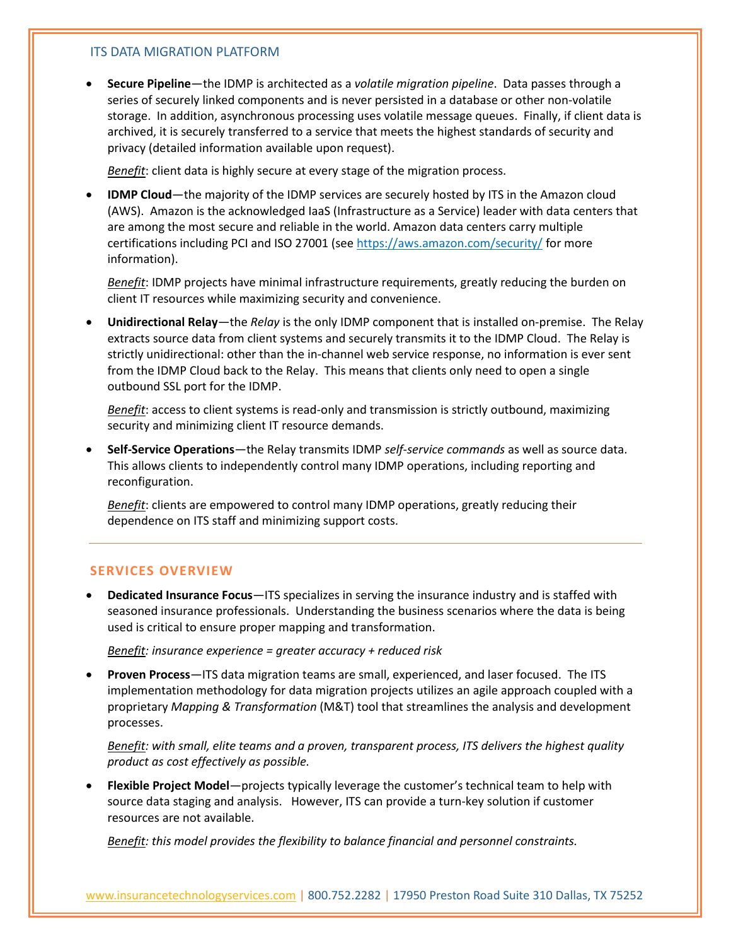### ITS DATA MIGRATION PLATFORM

• **Secure Pipeline**—the IDMP is architected as a *volatile migration pipeline*. Data passes through a series of securely linked components and is never persisted in a database or other non-volatile storage. In addition, asynchronous processing uses volatile message queues. Finally, if client data is archived, it is securely transferred to a service that meets the highest standards of security and privacy (detailed information available upon request).

*Benefit*: client data is highly secure at every stage of the migration process.

• **IDMP Cloud**—the majority of the IDMP services are securely hosted by ITS in the Amazon cloud (AWS). Amazon is the acknowledged IaaS (Infrastructure as a Service) leader with data centers that are among the most secure and reliable in the world. Amazon data centers carry multiple certifications including PCI and ISO 27001 (se[e https://aws.amazon.com/security/](https://aws.amazon.com/security/) for more information).

*Benefit*: IDMP projects have minimal infrastructure requirements, greatly reducing the burden on client IT resources while maximizing security and convenience.

• **Unidirectional Relay**—the *Relay* is the only IDMP component that is installed on-premise. The Relay extracts source data from client systems and securely transmits it to the IDMP Cloud. The Relay is strictly unidirectional: other than the in-channel web service response, no information is ever sent from the IDMP Cloud back to the Relay. This means that clients only need to open a single outbound SSL port for the IDMP.

*Benefit*: access to client systems is read-only and transmission is strictly outbound, maximizing security and minimizing client IT resource demands.

• **Self-Service Operations**—the Relay transmits IDMP *self-service commands* as well as source data. This allows clients to independently control many IDMP operations, including reporting and reconfiguration.

*Benefit*: clients are empowered to control many IDMP operations, greatly reducing their dependence on ITS staff and minimizing support costs.

# **SERVICES OVERVIEW**

• **Dedicated Insurance Focus**—ITS specializes in serving the insurance industry and is staffed with seasoned insurance professionals. Understanding the business scenarios where the data is being used is critical to ensure proper mapping and transformation.

*Benefit: insurance experience = greater accuracy + reduced risk*

• **Proven Process**—ITS data migration teams are small, experienced, and laser focused. The ITS implementation methodology for data migration projects utilizes an agile approach coupled with a proprietary *Mapping & Transformation* (M&T) tool that streamlines the analysis and development processes.

*Benefit: with small, elite teams and a proven, transparent process, ITS delivers the highest quality product as cost effectively as possible.* 

• **Flexible Project Model**—projects typically leverage the customer's technical team to help with source data staging and analysis. However, ITS can provide a turn-key solution if customer resources are not available.

*Benefit: this model provides the flexibility to balance financial and personnel constraints.*